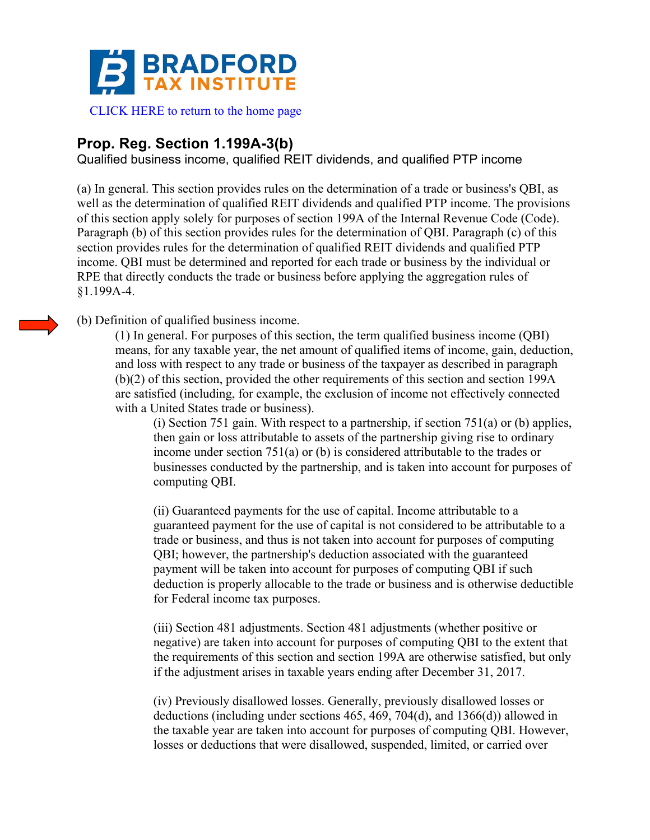

## **Prop. Reg. Section 1.199A-3(b)**

Qualified business income, qualified REIT dividends, and qualified PTP income

(a) In general. This section provides rules on the determination of a trade or business's QBI, as well as the determination of qualified REIT dividends and qualified PTP income. The provisions of this section apply solely for purposes of section 199A of the Internal Revenue Code (Code). Paragraph (b) of this section provides rules for the determination of QBI. Paragraph (c) of this section provides rules for the determination of qualified REIT dividends and qualified PTP income. QBI must be determined and reported for each trade or business by the individual or RPE that directly conducts the trade or business before applying the aggregation rules of §1.199A-4.

## (b) Definition of qualified business income.

(1) In general. For purposes of this section, the term qualified business income (QBI) means, for any taxable year, the net amount of qualified items of income, gain, deduction, and loss with respect to any trade or business of the taxpayer as described in paragraph (b)(2) of this section, provided the other requirements of this section and section 199A are satisfied (including, for example, the exclusion of income not effectively connected with a United States trade or business).

(i) Section 751 gain. With respect to a partnership, if section  $751(a)$  or (b) applies, then gain or loss attributable to assets of the partnership giving rise to ordinary income under section 751(a) or (b) is considered attributable to the trades or businesses conducted by the partnership, and is taken into account for purposes of computing QBI.

(ii) Guaranteed payments for the use of capital. Income attributable to a guaranteed payment for the use of capital is not considered to be attributable to a trade or business, and thus is not taken into account for purposes of computing QBI; however, the partnership's deduction associated with the guaranteed payment will be taken into account for purposes of computing QBI if such deduction is properly allocable to the trade or business and is otherwise deductible for Federal income tax purposes.

(iii) Section 481 adjustments. Section 481 adjustments (whether positive or negative) are taken into account for purposes of computing QBI to the extent that the requirements of this section and section 199A are otherwise satisfied, but only if the adjustment arises in taxable years ending after December 31, 2017.

(iv) Previously disallowed losses. Generally, previously disallowed losses or deductions (including under sections 465, 469, 704(d), and 1366(d)) allowed in the taxable year are taken into account for purposes of computing QBI. However, losses or deductions that were disallowed, suspended, limited, or carried over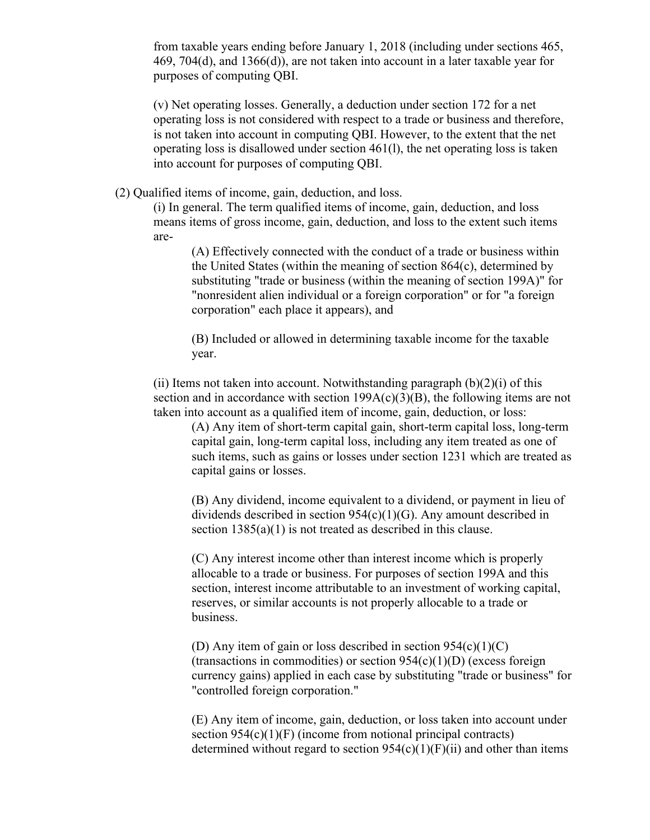from taxable years ending before January 1, 2018 (including under sections 465, 469, 704(d), and 1366(d)), are not taken into account in a later taxable year for purposes of computing QBI.

(v) Net operating losses. Generally, a deduction under section 172 for a net operating loss is not considered with respect to a trade or business and therefore, is not taken into account in computing QBI. However, to the extent that the net operating loss is disallowed under section 461(l), the net operating loss is taken into account for purposes of computing QBI.

(2) Qualified items of income, gain, deduction, and loss.

(i) In general. The term qualified items of income, gain, deduction, and loss means items of gross income, gain, deduction, and loss to the extent such items are-

(A) Effectively connected with the conduct of a trade or business within the United States (within the meaning of section 864(c), determined by substituting "trade or business (within the meaning of section 199A)" for "nonresident alien individual or a foreign corporation" or for "a foreign corporation" each place it appears), and

(B) Included or allowed in determining taxable income for the taxable year.

(ii) Items not taken into account. Notwithstanding paragraph  $(b)(2)(i)$  of this section and in accordance with section  $199A(c)(3)(B)$ , the following items are not taken into account as a qualified item of income, gain, deduction, or loss:

(A) Any item of short-term capital gain, short-term capital loss, long-term capital gain, long-term capital loss, including any item treated as one of such items, such as gains or losses under section 1231 which are treated as capital gains or losses.

(B) Any dividend, income equivalent to a dividend, or payment in lieu of dividends described in section  $954(c)(1)(G)$ . Any amount described in section  $1385(a)(1)$  is not treated as described in this clause.

(C) Any interest income other than interest income which is properly allocable to a trade or business. For purposes of section 199A and this section, interest income attributable to an investment of working capital, reserves, or similar accounts is not properly allocable to a trade or business.

(D) Any item of gain or loss described in section  $954(c)(1)(C)$  $(transactions in commodities)$  or section  $954(c)(1)(D)$  (excess foreign currency gains) applied in each case by substituting "trade or business" for "controlled foreign corporation."

(E) Any item of income, gain, deduction, or loss taken into account under section  $954(c)(1)(F)$  (income from notional principal contracts) determined without regard to section  $954(c)(1)(F)(ii)$  and other than items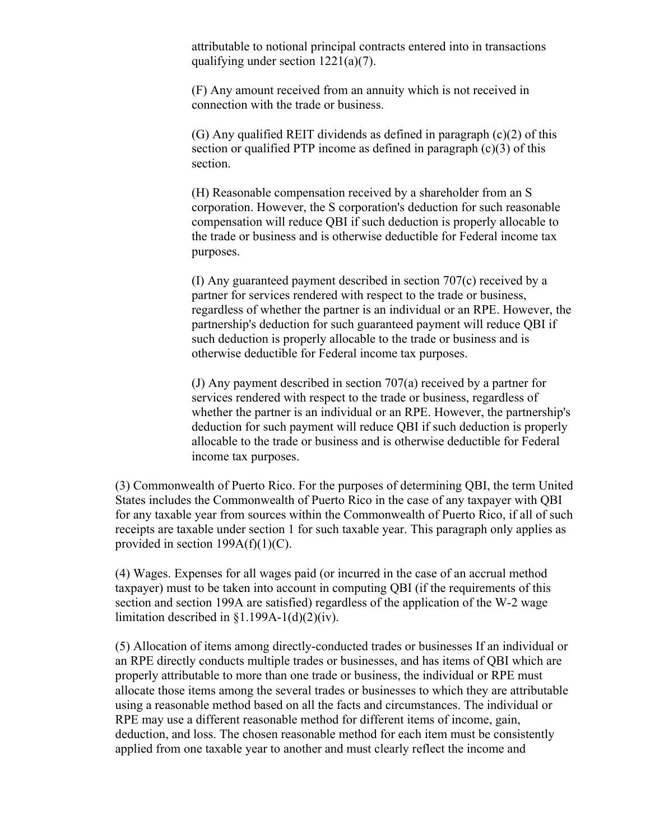attributable to notional principal contracts entered into in transactions qualifying under section 1221(a)(7).

(F) Any amount received from an annuity which is not received in connection with the trade or business.

(G) Any qualified REIT dividends as defined in paragraph (c)(2) of this section or qualified PTP income as defined in paragraph (c)(3) of this section.

(H) Reasonable compensation received by a shareholder from an S corporation. However, the S corporation's deduction for such reasonable compensation will reduce QBI if such deduction is properly allocable to the trade or business and is otherwise deductible for Federal income tax purposes.

(I) Any guaranteed payment described in section 707(c) received by a partner for services rendered with respect to the trade or business, regardless of whether the partner is an individual or an RPE. However, the partnership's deduction for such guaranteed payment will reduce QBI if such deduction is properly allocable to the trade or business and is otherwise deductible for Federal income tax purposes.

(J) Any payment described in section 707(a) received by a partner for services rendered with respect to the trade or business, regardless of whether the partner is an individual or an RPE. However, the partnership's deduction for such payment will reduce QBI if such deduction is properly allocable to the trade or business and is otherwise deductible for Federal income tax purposes.

(3) Commonwealth of Puerto Rico. For the purposes of determining QBI, the term United States includes the Commonwealth of Puerto Rico in the case of any taxpayer with QBI for any taxable year from sources within the Commonwealth of Puerto Rico, if all of such receipts are taxable under section 1 for such taxable year. This paragraph only applies as provided in section  $199A(f)(1)(C)$ .

(4) Wages. Expenses for all wages paid (or incurred in the case of an accrual method taxpayer) must to be taken into account in computing QBI (if the requirements of this section and section 199A are satisfied) regardless of the application of the W-2 wage limitation described in  $\S1.199A-1(d)(2)(iv)$ .

(5) Allocation of items among directly-conducted trades or businesses If an individual or an RPE directly conducts multiple trades or businesses, and has items of QBI which are properly attributable to more than one trade or business, the individual or RPE must allocate those items among the several trades or businesses to which they are attributable using a reasonable method based on all the facts and circumstances. The individual or RPE may use a different reasonable method for different items of income, gain, deduction, and loss. The chosen reasonable method for each item must be consistently applied from one taxable year to another and must clearly reflect the income and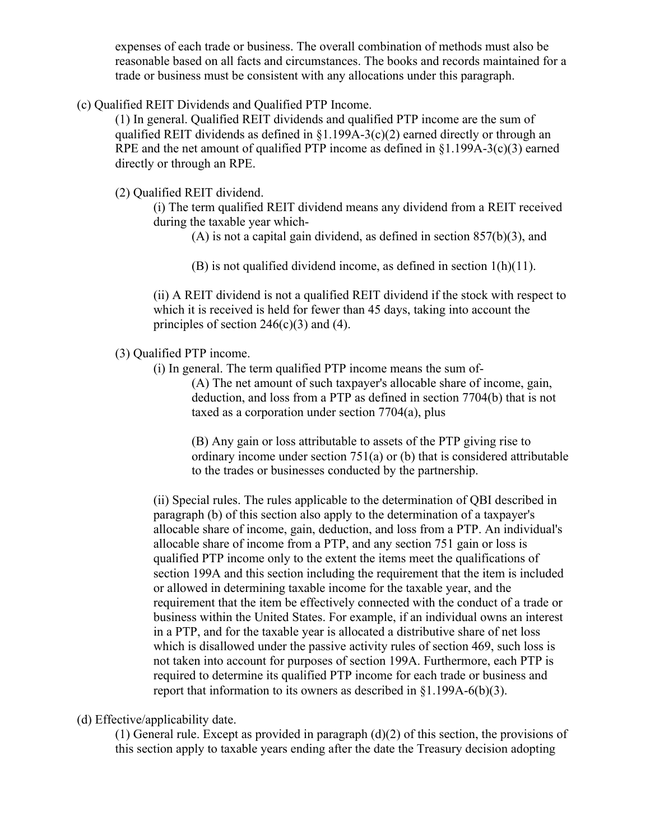expenses of each trade or business. The overall combination of methods must also be reasonable based on all facts and circumstances. The books and records maintained for a trade or business must be consistent with any allocations under this paragraph.

(c) Qualified REIT Dividends and Qualified PTP Income.

(1) In general. Qualified REIT dividends and qualified PTP income are the sum of qualified REIT dividends as defined in  $\S1.199A-3(c)(2)$  earned directly or through an RPE and the net amount of qualified PTP income as defined in §1.199A-3(c)(3) earned directly or through an RPE.

(2) Qualified REIT dividend.

(i) The term qualified REIT dividend means any dividend from a REIT received during the taxable year which-

(A) is not a capital gain dividend, as defined in section  $857(b)(3)$ , and

(B) is not qualified dividend income, as defined in section 1(h)(11).

(ii) A REIT dividend is not a qualified REIT dividend if the stock with respect to which it is received is held for fewer than 45 days, taking into account the principles of section  $246(c)(3)$  and (4).

(3) Qualified PTP income.

(i) In general. The term qualified PTP income means the sum of-

(A) The net amount of such taxpayer's allocable share of income, gain, deduction, and loss from a PTP as defined in section 7704(b) that is not taxed as a corporation under section 7704(a), plus

(B) Any gain or loss attributable to assets of the PTP giving rise to ordinary income under section 751(a) or (b) that is considered attributable to the trades or businesses conducted by the partnership.

(ii) Special rules. The rules applicable to the determination of QBI described in paragraph (b) of this section also apply to the determination of a taxpayer's allocable share of income, gain, deduction, and loss from a PTP. An individual's allocable share of income from a PTP, and any section 751 gain or loss is qualified PTP income only to the extent the items meet the qualifications of section 199A and this section including the requirement that the item is included or allowed in determining taxable income for the taxable year, and the requirement that the item be effectively connected with the conduct of a trade or business within the United States. For example, if an individual owns an interest in a PTP, and for the taxable year is allocated a distributive share of net loss which is disallowed under the passive activity rules of section 469, such loss is not taken into account for purposes of section 199A. Furthermore, each PTP is required to determine its qualified PTP income for each trade or business and report that information to its owners as described in §1.199A-6(b)(3).

(d) Effective/applicability date.

(1) General rule. Except as provided in paragraph (d)(2) of this section, the provisions of this section apply to taxable years ending after the date the Treasury decision adopting